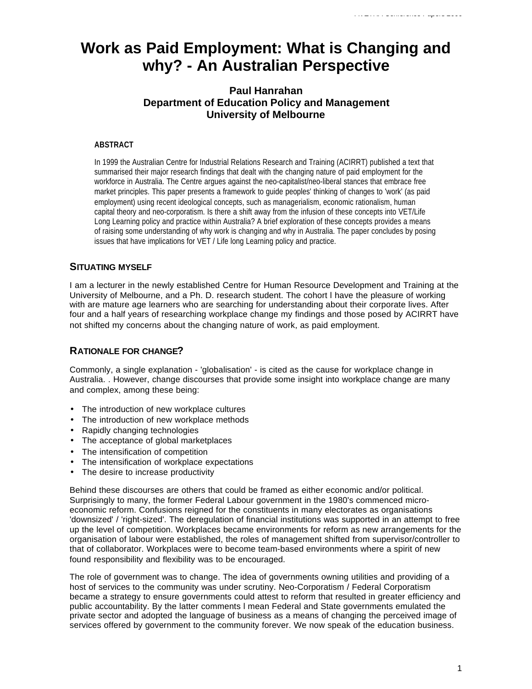# **Work as Paid Employment: What is Changing and why? - An Australian Perspective**

# **Paul Hanrahan Department of Education Policy and Management University of Melbourne**

### **ABSTRACT**

In 1999 the Australian Centre for Industrial Relations Research and Training (ACIRRT) published a text that summarised their major research findings that dealt with the changing nature of paid employment for the workforce in Australia. The Centre argues against the neo-capitalist/neo-liberal stances that embrace free market principles. This paper presents a framework to guide peoples' thinking of changes to 'work' (as paid employment) using recent ideological concepts, such as managerialism, economic rationalism, human capital theory and neo-corporatism. Is there a shift away from the infusion of these concepts into VET/Life Long Learning policy and practice within Australia? A brief exploration of these concepts provides a means of raising some understanding of why work is changing and why in Australia. The paper concludes by posing issues that have implications for VET / Life long Learning policy and practice.

## **SITUATING MYSELF**

I am a lecturer in the newly established Centre for Human Resource Development and Training at the University of Melbourne, and a Ph. D. research student. The cohort l have the pleasure of working with are mature age learners who are searching for understanding about their corporate lives. After four and a half years of researching workplace change my findings and those posed by ACIRRT have not shifted my concerns about the changing nature of work, as paid employment.

## **RATIONALE FOR CHANGE?**

Commonly, a single explanation - 'globalisation' - is cited as the cause for workplace change in Australia. . However, change discourses that provide some insight into workplace change are many and complex, among these being:

- The introduction of new workplace cultures
- The introduction of new workplace methods
- Rapidly changing technologies
- The acceptance of global marketplaces
- The intensification of competition
- The intensification of workplace expectations
- The desire to increase productivity

Behind these discourses are others that could be framed as either economic and/or political. Surprisingly to many, the former Federal Labour government in the 1980's commenced microeconomic reform. Confusions reigned for the constituents in many electorates as organisations 'downsized' / 'right-sized'. The deregulation of financial institutions was supported in an attempt to free up the level of competition. Workplaces became environments for reform as new arrangements for the organisation of labour were established, the roles of management shifted from supervisor/controller to that of collaborator. Workplaces were to become team-based environments where a spirit of new found responsibility and flexibility was to be encouraged.

The role of government was to change. The idea of governments owning utilities and providing of a host of services to the community was under scrutiny. Neo-Corporatism / Federal Corporatism became a strategy to ensure governments could attest to reform that resulted in greater efficiency and public accountability. By the latter comments l mean Federal and State governments emulated the private sector and adopted the language of business as a means of changing the perceived image of services offered by government to the community forever. We now speak of the education business.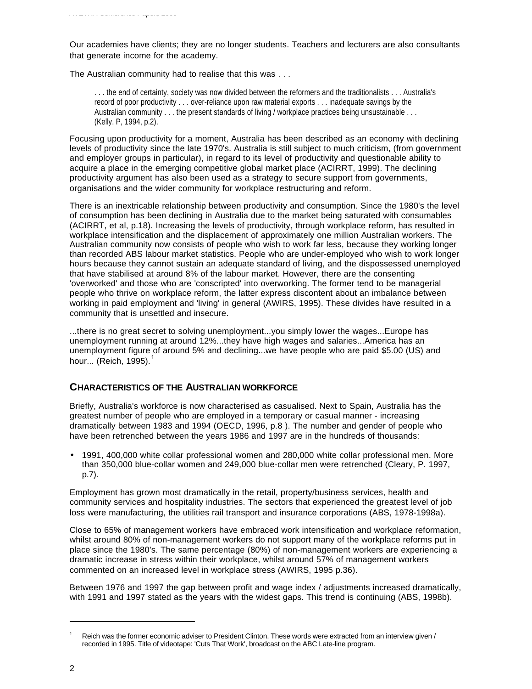Our academies have clients; they are no longer students. Teachers and lecturers are also consultants that generate income for the academy.

The Australian community had to realise that this was . . .

. . . the end of certainty, society was now divided between the reformers and the traditionalists . . . Australia's record of poor productivity . . . over-reliance upon raw material exports . . . inadequate savings by the Australian community . . . the present standards of living / workplace practices being unsustainable . . . (Kelly. P, 1994, p.2).

Focusing upon productivity for a moment, Australia has been described as an economy with declining levels of productivity since the late 1970's. Australia is still subject to much criticism, (from government and employer groups in particular), in regard to its level of productivity and questionable ability to acquire a place in the emerging competitive global market place (ACIRRT, 1999). The declining productivity argument has also been used as a strategy to secure support from governments, organisations and the wider community for workplace restructuring and reform.

There is an inextricable relationship between productivity and consumption. Since the 1980's the level of consumption has been declining in Australia due to the market being saturated with consumables (ACIRRT, et al, p.18). Increasing the levels of productivity, through workplace reform, has resulted in workplace intensification and the displacement of approximately one million Australian workers. The Australian community now consists of people who wish to work far less, because they working longer than recorded ABS labour market statistics. People who are under-employed who wish to work longer hours because they cannot sustain an adequate standard of living, and the dispossessed unemployed that have stabilised at around 8% of the labour market. However, there are the consenting 'overworked' and those who are 'conscripted' into overworking. The former tend to be managerial people who thrive on workplace reform, the latter express discontent about an imbalance between working in paid employment and 'living' in general (AWIRS, 1995). These divides have resulted in a community that is unsettled and insecure.

...there is no great secret to solving unemployment...you simply lower the wages...Europe has unemployment running at around 12%...they have high wages and salaries...America has an unemployment figure of around 5% and declining...we have people who are paid \$5.00 (US) and hour... (Reich, 1995). $<sup>1</sup>$ </sup>

# **CHARACTERISTICS OF THE AUSTRALIAN WORKFORCE**

Briefly, Australia's workforce is now characterised as casualised. Next to Spain, Australia has the greatest number of people who are employed in a temporary or casual manner - increasing dramatically between 1983 and 1994 (OECD, 1996, p.8 ). The number and gender of people who have been retrenched between the years 1986 and 1997 are in the hundreds of thousands:

• 1991, 400,000 white collar professional women and 280,000 white collar professional men. More than 350,000 blue-collar women and 249,000 blue-collar men were retrenched (Cleary, P. 1997, p.7).

Employment has grown most dramatically in the retail, property/business services, health and community services and hospitality industries. The sectors that experienced the greatest level of job loss were manufacturing, the utilities rail transport and insurance corporations (ABS, 1978-1998a).

Close to 65% of management workers have embraced work intensification and workplace reformation, whilst around 80% of non-management workers do not support many of the workplace reforms put in place since the 1980's. The same percentage (80%) of non-management workers are experiencing a dramatic increase in stress within their workplace, whilst around 57% of management workers commented on an increased level in workplace stress (AWIRS, 1995 p.36).

Between 1976 and 1997 the gap between profit and wage index / adjustments increased dramatically, with 1991 and 1997 stated as the years with the widest gaps. This trend is continuing (ABS, 1998b).

Reich was the former economic adviser to President Clinton. These words were extracted from an interview given / recorded in 1995. Title of videotape: 'Cuts That Work', broadcast on the ABC Late-line program.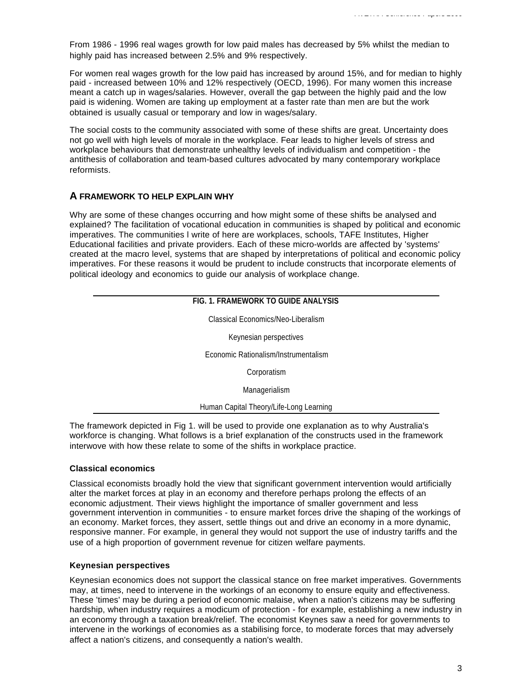From 1986 - 1996 real wages growth for low paid males has decreased by 5% whilst the median to highly paid has increased between 2.5% and 9% respectively.

For women real wages growth for the low paid has increased by around 15%, and for median to highly paid - increased between 10% and 12% respectively (OECD, 1996). For many women this increase meant a catch up in wages/salaries. However, overall the gap between the highly paid and the low paid is widening. Women are taking up employment at a faster rate than men are but the work obtained is usually casual or temporary and low in wages/salary.

The social costs to the community associated with some of these shifts are great. Uncertainty does not go well with high levels of morale in the workplace. Fear leads to higher levels of stress and workplace behaviours that demonstrate unhealthy levels of individualism and competition - the antithesis of collaboration and team-based cultures advocated by many contemporary workplace reformists.

# **A FRAMEWORK TO HELP EXPLAIN WHY**

Why are some of these changes occurring and how might some of these shifts be analysed and explained? The facilitation of vocational education in communities is shaped by political and economic imperatives. The communities l write of here are workplaces, schools, TAFE Institutes, Higher Educational facilities and private providers. Each of these micro-worlds are affected by 'systems' created at the macro level, systems that are shaped by interpretations of political and economic policy imperatives. For these reasons it would be prudent to include constructs that incorporate elements of political ideology and economics to guide our analysis of workplace change.

| FIG. 1. FRAMEWORK TO GUIDE ANALYSIS     |  |
|-----------------------------------------|--|
| Classical Economics/Neo-Liberalism      |  |
| Keynesian perspectives                  |  |
| Economic Rationalism/Instrumentalism    |  |
| Corporatism                             |  |
| Managerialism                           |  |
| Human Capital Theory/Life-Long Learning |  |

The framework depicted in Fig 1. will be used to provide one explanation as to why Australia's workforce is changing. What follows is a brief explanation of the constructs used in the framework interwove with how these relate to some of the shifts in workplace practice.

#### **Classical economics**

Classical economists broadly hold the view that significant government intervention would artificially alter the market forces at play in an economy and therefore perhaps prolong the effects of an economic adjustment. Their views highlight the importance of smaller government and less government intervention in communities - to ensure market forces drive the shaping of the workings of an economy. Market forces, they assert, settle things out and drive an economy in a more dynamic, responsive manner. For example, in general they would not support the use of industry tariffs and the use of a high proportion of government revenue for citizen welfare payments.

#### **Keynesian perspectives**

Keynesian economics does not support the classical stance on free market imperatives. Governments may, at times, need to intervene in the workings of an economy to ensure equity and effectiveness. These 'times' may be during a period of economic malaise, when a nation's citizens may be suffering hardship, when industry requires a modicum of protection - for example, establishing a new industry in an economy through a taxation break/relief. The economist Keynes saw a need for governments to intervene in the workings of economies as a stabilising force, to moderate forces that may adversely affect a nation's citizens, and consequently a nation's wealth.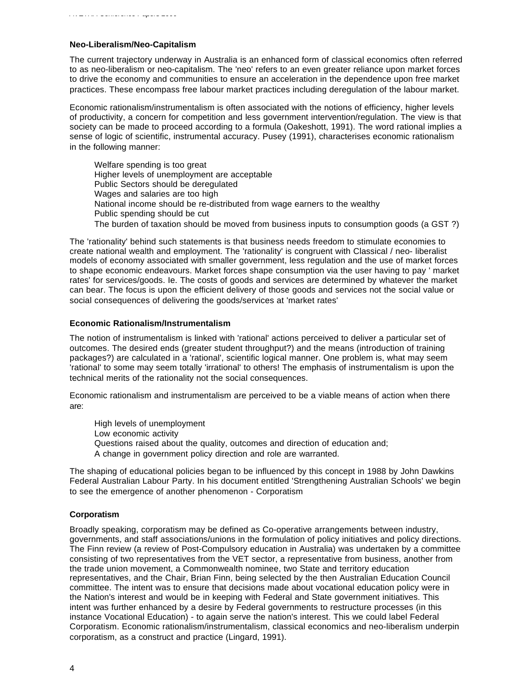#### **Neo-Liberalism/Neo-Capitalism**

The current trajectory underway in Australia is an enhanced form of classical economics often referred to as neo-liberalism or neo-capitalism. The 'neo' refers to an even greater reliance upon market forces to drive the economy and communities to ensure an acceleration in the dependence upon free market practices. These encompass free labour market practices including deregulation of the labour market.

Economic rationalism/instrumentalism is often associated with the notions of efficiency, higher levels of productivity, a concern for competition and less government intervention/regulation. The view is that society can be made to proceed according to a formula (Oakeshott, 1991). The word rational implies a sense of logic of scientific, instrumental accuracy. Pusey (1991), characterises economic rationalism in the following manner:

Welfare spending is too great Higher levels of unemployment are acceptable Public Sectors should be deregulated Wages and salaries are too high National income should be re-distributed from wage earners to the wealthy Public spending should be cut The burden of taxation should be moved from business inputs to consumption goods (a GST ?)

The 'rationality' behind such statements is that business needs freedom to stimulate economies to create national wealth and employment. The 'rationality' is congruent with Classical / neo- liberalist models of economy associated with smaller government, less regulation and the use of market forces to shape economic endeavours. Market forces shape consumption via the user having to pay ' market rates' for services/goods. Ie. The costs of goods and services are determined by whatever the market can bear. The focus is upon the efficient delivery of those goods and services not the social value or social consequences of delivering the goods/services at 'market rates'

#### **Economic Rationalism/Instrumentalism**

The notion of instrumentalism is linked with 'rational' actions perceived to deliver a particular set of outcomes. The desired ends (greater student throughput?) and the means (introduction of training packages?) are calculated in a 'rational', scientific logical manner. One problem is, what may seem 'rational' to some may seem totally 'irrational' to others! The emphasis of instrumentalism is upon the technical merits of the rationality not the social consequences.

Economic rationalism and instrumentalism are perceived to be a viable means of action when there are:

High levels of unemployment Low economic activity Questions raised about the quality, outcomes and direction of education and; A change in government policy direction and role are warranted.

The shaping of educational policies began to be influenced by this concept in 1988 by John Dawkins Federal Australian Labour Party. In his document entitled 'Strengthening Australian Schools' we begin to see the emergence of another phenomenon - Corporatism

## **Corporatism**

Broadly speaking, corporatism may be defined as Co-operative arrangements between industry, governments, and staff associations/unions in the formulation of policy initiatives and policy directions. The Finn review (a review of Post-Compulsory education in Australia) was undertaken by a committee consisting of two representatives from the VET sector, a representative from business, another from the trade union movement, a Commonwealth nominee, two State and territory education representatives, and the Chair, Brian Finn, being selected by the then Australian Education Council committee. The intent was to ensure that decisions made about vocational education policy were in the Nation's interest and would be in keeping with Federal and State government initiatives. This intent was further enhanced by a desire by Federal governments to restructure processes (in this instance Vocational Education) - to again serve the nation's interest. This we could label Federal Corporatism. Economic rationalism/instrumentalism, classical economics and neo-liberalism underpin corporatism, as a construct and practice (Lingard, 1991).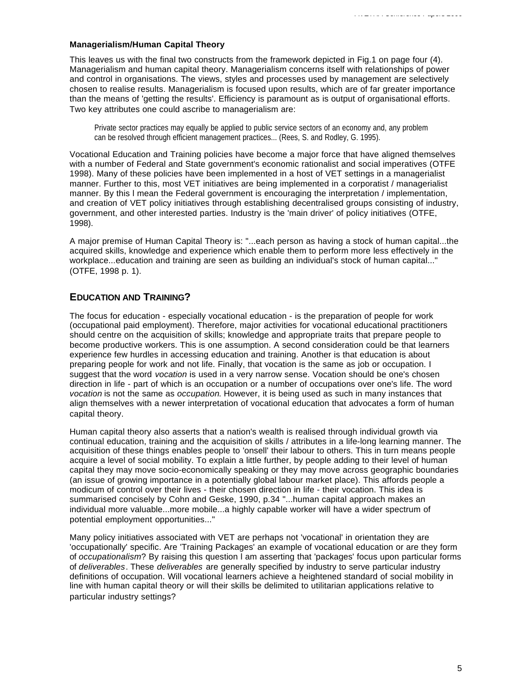#### **Managerialism/Human Capital Theory**

This leaves us with the final two constructs from the framework depicted in Fig.1 on page four (4). Managerialism and human capital theory. Managerialism concerns itself with relationships of power and control in organisations. The views, styles and processes used by management are selectively chosen to realise results. Managerialism is focused upon results, which are of far greater importance than the means of 'getting the results'. Efficiency is paramount as is output of organisational efforts. Two key attributes one could ascribe to managerialism are:

Private sector practices may equally be applied to public service sectors of an economy and, any problem can be resolved through efficient management practices... (Rees, S. and Rodley, G. 1995).

Vocational Education and Training policies have become a major force that have aligned themselves with a number of Federal and State government's economic rationalist and social imperatives (OTFE 1998). Many of these policies have been implemented in a host of VET settings in a managerialist manner. Further to this, most VET initiatives are being implemented in a corporatist / managerialist manner. By this l mean the Federal government is encouraging the interpretation / implementation, and creation of VET policy initiatives through establishing decentralised groups consisting of industry, government, and other interested parties. Industry is the 'main driver' of policy initiatives (OTFE, 1998).

A major premise of Human Capital Theory is: "...each person as having a stock of human capital...the acquired skills, knowledge and experience which enable them to perform more less effectively in the workplace...education and training are seen as building an individual's stock of human capital..." (OTFE, 1998 p. 1).

# **EDUCATION AND TRAINING?**

The focus for education - especially vocational education - is the preparation of people for work (occupational paid employment). Therefore, major activities for vocational educational practitioners should centre on the acquisition of skills; knowledge and appropriate traits that prepare people to become productive workers. This is one assumption. A second consideration could be that learners experience few hurdles in accessing education and training. Another is that education is about preparing people for work and not life. Finally, that vocation is the same as job or occupation. I suggest that the word *vocation* is used in a very narrow sense. Vocation should be one's chosen direction in life - part of which is an occupation or a number of occupations over one's life. The word *vocation* is not the same as *occupation*. However, it is being used as such in many instances that align themselves with a newer interpretation of vocational education that advocates a form of human capital theory.

Human capital theory also asserts that a nation's wealth is realised through individual growth via continual education, training and the acquisition of skills / attributes in a life-long learning manner. The acquisition of these things enables people to 'onsell' their labour to others. This in turn means people acquire a level of social mobility. To explain a little further, by people adding to their level of human capital they may move socio-economically speaking or they may move across geographic boundaries (an issue of growing importance in a potentially global labour market place). This affords people a modicum of control over their lives - their chosen direction in life - their vocation. This idea is summarised concisely by Cohn and Geske, 1990, p.34 "...human capital approach makes an individual more valuable...more mobile...a highly capable worker will have a wider spectrum of potential employment opportunities..."

Many policy initiatives associated with VET are perhaps not 'vocational' in orientation they are 'occupationally' specific. Are 'Training Packages' an example of vocational education or are they form of *occupationalism*? By raising this question l am asserting that 'packages' focus upon particular forms of *deliverables*. These *deliverables* are generally specified by industry to serve particular industry definitions of occupation. Will vocational learners achieve a heightened standard of social mobility in line with human capital theory or will their skills be delimited to utilitarian applications relative to particular industry settings?